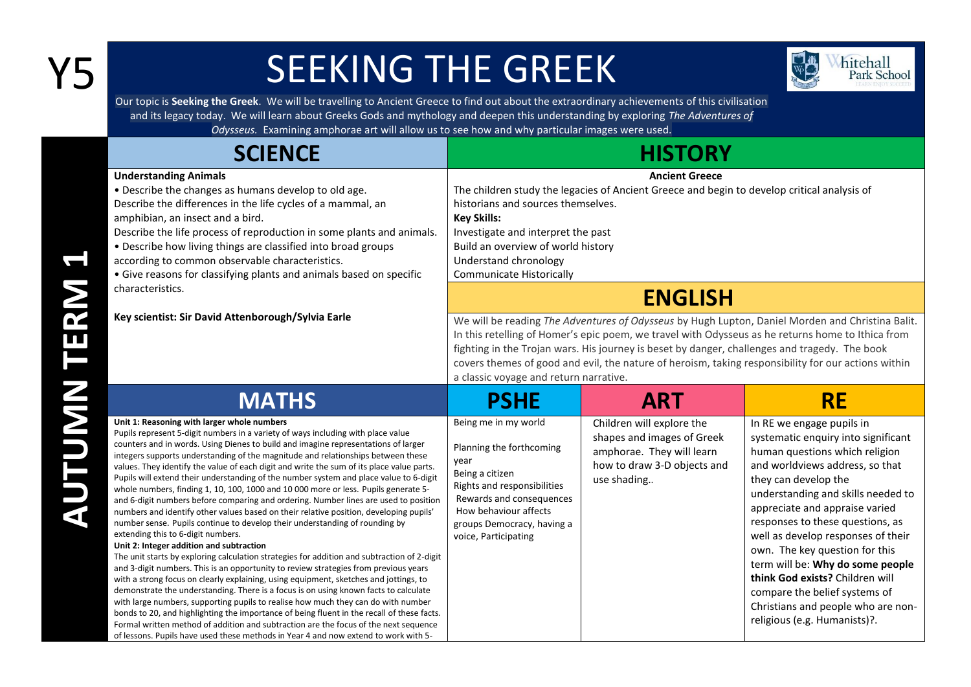## Y5 SEEKING THE GREEK



Our topic is **Seeking the Greek**. We will be travelling to Ancient Greece to find out about the extraordinary achievements of this civilisation and its legacy today. We will learn about Greeks Gods and mythology and deepen this understanding by exploring *The Adventures of Odysseus.* Examining amphorae art will allow us to see how and why particular images were used.

| <b>SCIENCE</b>                                                                                                                                                                                                                                                                                                                                                                                                                                                                                                                                                                                                                                                                                                                                                                                                                                                                                                                                                                                                                                                                                                                                                                                                                                                                                                                                                                                                                                                                                                                                                                                                                                                                       | <b>HISTORY</b>                                                                                                                                                                                                                                                                                                                             |                                                                                                                                                                                                                                                                                                                                                                                                               |                                                                                                                                                                                                                                                                                                                                                                                                                                                                                                                                 |
|--------------------------------------------------------------------------------------------------------------------------------------------------------------------------------------------------------------------------------------------------------------------------------------------------------------------------------------------------------------------------------------------------------------------------------------------------------------------------------------------------------------------------------------------------------------------------------------------------------------------------------------------------------------------------------------------------------------------------------------------------------------------------------------------------------------------------------------------------------------------------------------------------------------------------------------------------------------------------------------------------------------------------------------------------------------------------------------------------------------------------------------------------------------------------------------------------------------------------------------------------------------------------------------------------------------------------------------------------------------------------------------------------------------------------------------------------------------------------------------------------------------------------------------------------------------------------------------------------------------------------------------------------------------------------------------|--------------------------------------------------------------------------------------------------------------------------------------------------------------------------------------------------------------------------------------------------------------------------------------------------------------------------------------------|---------------------------------------------------------------------------------------------------------------------------------------------------------------------------------------------------------------------------------------------------------------------------------------------------------------------------------------------------------------------------------------------------------------|---------------------------------------------------------------------------------------------------------------------------------------------------------------------------------------------------------------------------------------------------------------------------------------------------------------------------------------------------------------------------------------------------------------------------------------------------------------------------------------------------------------------------------|
| <b>Understanding Animals</b><br>• Describe the changes as humans develop to old age.<br>Describe the differences in the life cycles of a mammal, an<br>amphibian, an insect and a bird.<br>Describe the life process of reproduction in some plants and animals.<br>• Describe how living things are classified into broad groups<br>according to common observable characteristics.<br>• Give reasons for classifying plants and animals based on specific<br>characteristics.                                                                                                                                                                                                                                                                                                                                                                                                                                                                                                                                                                                                                                                                                                                                                                                                                                                                                                                                                                                                                                                                                                                                                                                                      | <b>Ancient Greece</b><br>The children study the legacies of Ancient Greece and begin to develop critical analysis of<br>historians and sources themselves.<br><b>Key Skills:</b><br>Investigate and interpret the past<br>Build an overview of world history<br>Understand chronology<br><b>Communicate Historically</b><br><b>ENGLISH</b> |                                                                                                                                                                                                                                                                                                                                                                                                               |                                                                                                                                                                                                                                                                                                                                                                                                                                                                                                                                 |
| Key scientist: Sir David Attenborough/Sylvia Earle                                                                                                                                                                                                                                                                                                                                                                                                                                                                                                                                                                                                                                                                                                                                                                                                                                                                                                                                                                                                                                                                                                                                                                                                                                                                                                                                                                                                                                                                                                                                                                                                                                   | a classic voyage and return narrative.                                                                                                                                                                                                                                                                                                     | We will be reading The Adventures of Odysseus by Hugh Lupton, Daniel Morden and Christina Balit.<br>In this retelling of Homer's epic poem, we travel with Odysseus as he returns home to Ithica from<br>fighting in the Trojan wars. His journey is beset by danger, challenges and tragedy. The book<br>covers themes of good and evil, the nature of heroism, taking responsibility for our actions within |                                                                                                                                                                                                                                                                                                                                                                                                                                                                                                                                 |
| <b>MATHS</b>                                                                                                                                                                                                                                                                                                                                                                                                                                                                                                                                                                                                                                                                                                                                                                                                                                                                                                                                                                                                                                                                                                                                                                                                                                                                                                                                                                                                                                                                                                                                                                                                                                                                         | <b>PSHE</b>                                                                                                                                                                                                                                                                                                                                | <b>ART</b>                                                                                                                                                                                                                                                                                                                                                                                                    | <b>RE</b>                                                                                                                                                                                                                                                                                                                                                                                                                                                                                                                       |
| Unit 1: Reasoning with larger whole numbers<br>Pupils represent 5-digit numbers in a variety of ways including with place value<br>counters and in words. Using Dienes to build and imagine representations of larger<br>integers supports understanding of the magnitude and relationships between these<br>values. They identify the value of each digit and write the sum of its place value parts.<br>Pupils will extend their understanding of the number system and place value to 6-digit<br>whole numbers, finding 1, 10, 100, 1000 and 10 000 more or less. Pupils generate 5-<br>and 6-digit numbers before comparing and ordering. Number lines are used to position<br>numbers and identify other values based on their relative position, developing pupils'<br>number sense. Pupils continue to develop their understanding of rounding by<br>extending this to 6-digit numbers.<br>Unit 2: Integer addition and subtraction<br>The unit starts by exploring calculation strategies for addition and subtraction of 2-digit<br>and 3-digit numbers. This is an opportunity to review strategies from previous years<br>with a strong focus on clearly explaining, using equipment, sketches and jottings, to<br>demonstrate the understanding. There is a focus is on using known facts to calculate<br>with large numbers, supporting pupils to realise how much they can do with number<br>bonds to 20, and highlighting the importance of being fluent in the recall of these facts.<br>Formal written method of addition and subtraction are the focus of the next sequence<br>of lessons. Pupils have used these methods in Year 4 and now extend to work with 5- | Being me in my world<br>Planning the forthcoming<br>year<br>Being a citizen<br>Rights and responsibilities<br>Rewards and consequences<br>How behaviour affects<br>groups Democracy, having a<br>voice, Participating                                                                                                                      | Children will explore the<br>shapes and images of Greek<br>amphorae. They will learn<br>how to draw 3-D objects and<br>use shading                                                                                                                                                                                                                                                                            | In RE we engage pupils in<br>systematic enquiry into significant<br>human questions which religion<br>and worldviews address, so that<br>they can develop the<br>understanding and skills needed to<br>appreciate and appraise varied<br>responses to these questions, as<br>well as develop responses of their<br>own. The key question for this<br>term will be: Why do some people<br>think God exists? Children will<br>compare the belief systems of<br>Christians and people who are non-<br>religious (e.g. Humanists)?. |